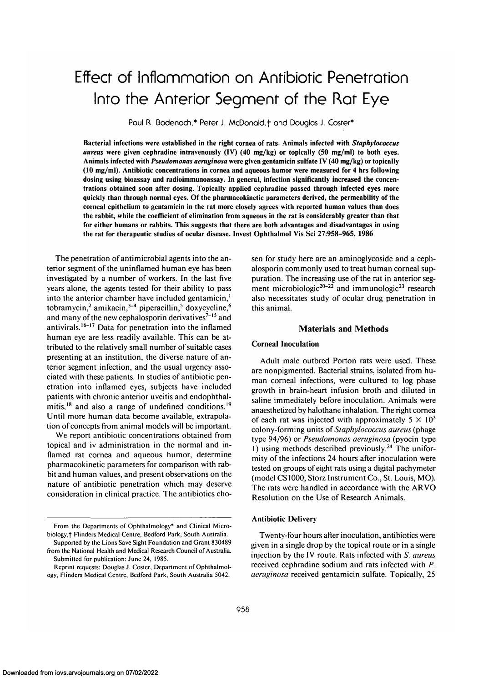# Effect of Inflammation on Antibiotic Penetration Into the Anterior Segment of the Rat Eye

Paul R. Bodenoch,\* Peter J. McDonald, f and Douglas J. Coster\*

**Bacterial infections were established in the right cornea of rats. Animals infected with** *Staphylococcus aureus* **were given cephradine intravenously (IV) (40 mg/kg) or topically (50 mg/ml) to both eyes. Animals infected with** *Pseudomonas aeruginosa* **were given gentamicin sulfate IV (40 mg/kg) or topically (10 mg/ml). Antibiotic concentrations in cornea and aqueous humor were measured for 4 hrs following dosing using bioassay and radioimmunoassay. In general, infection significantly increased the concentrations obtained soon after dosing. Topically applied cephradine passed through infected eyes more quickly than through normal eyes. Of the pharmacokinetic parameters derived, the permeability of the corneal epithelium to gentamicin in the rat more closely agrees with reported human values than does the rabbit, while the coefficient of elimination from aqueous in the rat is considerably greater than that for either humans or rabbits. This suggests that there are both advantages and disadvantages in using the rat for therapeutic studies of ocular disease. Invest Ophthalmol Vis Sci 27:958-965, 1986**

The penetration of antimicrobial agents into the anterior segment of the uninflamed human eye has been investigated by a number of workers. In the last five years alone, the agents tested for their ability to pass into the anterior chamber have included gentamicin, $<sup>1</sup>$ </sup> tobramycin,<sup>2</sup> amikacin,<sup>3-4</sup> piperacillin,<sup>5</sup> doxycycline,<sup>6</sup> and many of the new cephalosporin derivatives<sup>7-15</sup> and antivirals.<sup>16-17</sup> Data for penetration into the inflamed human eye are less readily available. This can be attributed to the relatively small number of suitable cases presenting at an institution, the diverse nature of anterior segment infection, and the usual urgency associated with these patients. In studies of antibiotic penetration into inflamed eyes, subjects have included patients with chronic anterior uveitis and endophthalmitis,<sup>18</sup> and also a range of undefined conditions.<sup>19</sup> Until more human data become available, extrapolation of concepts from animal models will be important.

We report antibiotic concentrations obtained from topical and iv administration in the normal and inflamed rat cornea and aqueous humor, determine pharmacokinetic parameters for comparison with rabbit and human values, and present observations on the nature of antibiotic penetration which may deserve consideration in clinical practice. The antibiotics chosen for study here are an aminoglycoside and a cephalosporin commonly used to treat human corneal suppuration. The increasing use of the rat in anterior segment microbiologic<sup>20-22</sup> and immunologic<sup>23</sup> research also necessitates study of ocular drug penetration in this animal.

## **Materials and Methods**

## **Corneal Inoculation**

Adult male outbred Porton rats were used. These are nonpigmented. Bacterial strains, isolated from human corneal infections, were cultured to log phase growth in brain-heart infusion broth and diluted in saline immediately before inoculation. Animals were anaesthetized by halothane inhalation. The right cornea of each rat was injected with approximately  $5 \times 10^3$ colony-forming units *of Staphylococcus aureus* (phage type 94/96) or *Pseudomonas aeruginosa* (pyocin type 1) using methods described previously.<sup>24</sup> The uniformity of the infections 24 hours after inoculation were tested on groups of eight rats using a digital pachymeter (model CS1000, Storz Instrument Co., St. Louis, MO). The rats were handled in accordance with the ARVO Resolution on the Use of Research Animals.

## **Antibiotic Delivery**

Twenty-four hours after inoculation, antibiotics were given in a single drop by the topical route or in a single injection by the IV route. Rats infected with *S. aureus* received cephradine sodium and rats infected with *P. aeruginosa* received gentamicin sulfate. Topically, 25

From the Departments of Ophthalmology\* and Clinical Microbiology,† Flinders Medical Centre, Bedford Park, South Australia. Supported by the Lions Save Sight Foundation and Grant 830489

from the National Health and Medical Research Council of Australia. Submitted for publication: June 24, 1985.

Reprint requests: Douglas J. Coster, Department of Ophthalmology, Flinders Medical Centre, Bedford Park, South Australia 5042.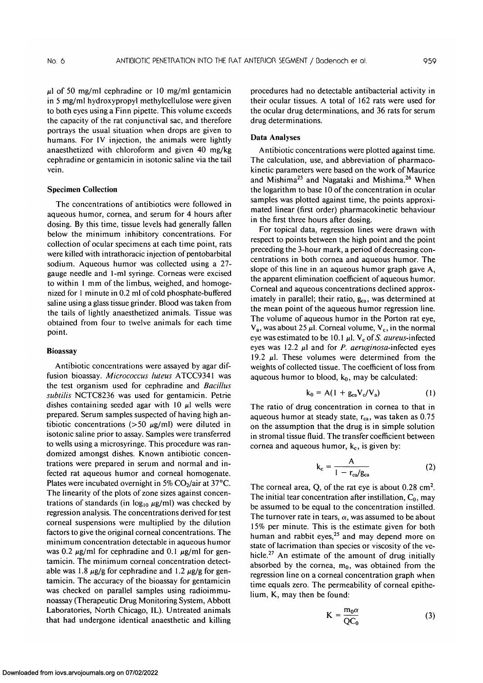$\mu$ l of 50 mg/ml cephradine or 10 mg/ml gentamicin in 5 mg/ml hydroxypropyl methylcellulose were given to both eyes using a Finn pipette. This volume exceeds the capacity of the rat conjunctival sac, and therefore portrays the usual situation when drops are given to humans. For IV injection, the animals were lightly anaesthetized with chloroform and given 40 mg/kg cephradine or gentamicin in isotonic saline via the tail vein.

### **Specimen Collection**

The concentrations of antibiotics were followed in aqueous humor, cornea, and serum for 4 hours after dosing. By this time, tissue levels had generally fallen below the minimum inhibitory concentrations. For collection of ocular specimens at each time point, rats were killed with intrathoracic injection of pentobarbital sodium. Aqueous humor was collected using a 27 gauge needle and 1-ml syringe. Corneas were excised to within 1 mm of the limbus, weighed, and homogenized for 1 minute in 0.2 ml of cold phosphate-buffered saline using a glass tissue grinder. Blood was taken from the tails of lightly anaesthetized animals. Tissue was obtained from four to twelve animals for each time point.

#### **Bioassay**

Antibiotic concentrations were assayed by agar diffusion bioassay. *Micrococcus luteus* ATCC9341 was the test organism used for cephradine and *Bacillus subtilis* NCTC8236 was used for gentamicin. Petrie dishes containing seeded agar with  $10 \mu l$  wells were prepared. Serum samples suspected of having high antibiotic concentrations ( $>50 \mu g/ml$ ) were diluted in isotonic saline prior to assay. Samples were transferred to wells using a microsyringe. This procedure was randomized amongst dishes. Known antibiotic concentrations were prepared in serum and normal and infected rat aqueous humor and corneal homogenate. Plates were incubated overnight in 5%  $CO<sub>2</sub>/air$  at 37°C. The linearity of the plots of zone sizes against concentrations of standards (in  $log_{10} \mu g/ml$ ) was checked by regression analysis. The concentrations derived for test corneal suspensions were multiplied by the dilution factors to give the original corneal concentrations. The minimum concentration detectable in aqueous humor was 0.2  $\mu$ g/ml for cephradine and 0.1  $\mu$ g/ml for gentamicin. The minimum corneal concentration detectable was 1.8  $\mu$ g/g for cephradine and 1.2  $\mu$ g/g for gentamicin. The accuracy of the bioassay for gentamicin was checked on parallel samples using radioimmunoassay (Therapeutic Drug Monitoring System, Abbott Laboratories, North Chicago, IL). Untreated animals that had undergone identical anaesthetic and killing procedures had no detectable antibacterial activity in their ocular tissues. A total of 162 rats were used for the ocular drug determinations, and 36 rats for serum drug determinations.

## **Data Analyses**

Antibiotic concentrations were plotted against time. The calculation, use, and abbreviation of pharmacokinetic parameters were based on the work of Maurice and Mishima<sup>25</sup> and Nagataki and Mishima.<sup>26</sup> When the logarithm to base 10 of the concentration in ocular samples was plotted against time, the points approximated linear (first order) pharmacokinetic behaviour in the first three hours after dosing.

For topical data, regression lines were drawn with respect to points between the high point and the point preceding the 3-hour mark, a period of decreasing concentrations in both cornea and aqueous humor. The slope of this line in an aqueous humor graph gave A, the apparent elimination coefficient of aqueous humor. Corneal and aqueous concentrations declined approximately in parallel; their ratio,  $g_{ca}$ , was determined at the mean point of the aqueous humor regression line. The volume of aqueous humor in the Porton rat eye,  $V_a$ , was about 25  $\mu$ l. Corneal volume,  $V_c$ , in the normal eye was estimated to be 10.1  $\mu$ l. V<sub>c</sub> of *S. aureus*-infected eyes was 12.2  $\mu$ l and for *P. aeruginosa*-infected eyes 19.2  $\mu$ l. These volumes were determined from the weights of collected tissue. The coefficient of loss from aqueous humor to blood,  $k_0$ , may be calculated:

$$
k_0 = A(1 + g_{ca}V_c/V_a)
$$
 (1)

The ratio of drug concentration in cornea to that in aqueous humor at steady state,  $r_{ca}$ , was taken as  $0.75$ on the assumption that the drug is in simple solution in stromal tissue fluid. The transfer coefficient between cornea and aqueous humor,  $k_c$ , is given by:

$$
k_c = \frac{A}{1 - r_{ca}/g_{ca}}
$$
 (2)

The corneal area,  $Q$ , of the rat eye is about  $0.28 \text{ cm}^2$ . The initial tear concentration after instillation,  $C_0$ , may be assumed to be equal to the concentration instilled. The turnover rate in tears,  $\alpha$ , was assumed to be about 15% per minute. This is the estimate given for both human and rabbit eyes, $25$  and may depend more on state of lacrimation than species or viscosity of the vehicle.<sup>27</sup> An estimate of the amount of drug initially absorbed by the cornea,  $m_0$ , was obtained from the regression line on a corneal concentration graph when time equals zero. The permeability of corneal epithelium, K, may then be found:

$$
K = \frac{m_0 \alpha}{QC_0} \tag{3}
$$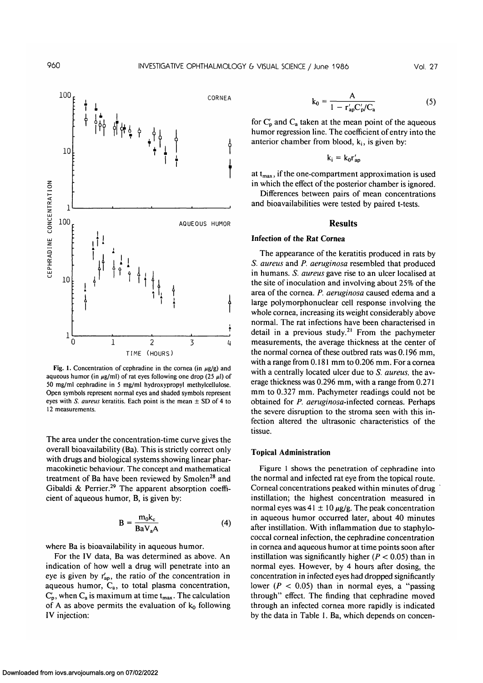

Fig. 1. Concentration of cephradine in the cornea (in 
$$
\mu
$$
g/g) and aqueous humor (in  $\mu$ g/ml) of rat eyes following one drop (25  $\mu$ l) of 50 mg/ml cephradine in 5 mg/ml hydroxypropyl methylcellulose. Open symbols represent normal eyes and shaded symbols represent eyes with *S. aureus* keratitis. Each point is the mean  $\pm$  SD of 4 to 12 measurements.

 $\mathbf{1}$ 

TIME (HOURS)

 $\overline{2}$ 

 $\overline{3}$ 

ì

 $\overline{u}$ 

The area under the concentration-time curve gives the overall bioavailability (Ba). This is strictly correct only with drugs and biological systems showing linear pharmacokinetic behaviour. The concept and mathematical treatment of Ba have been reviewed by Smolen<sup>28</sup> and Gibaldi & Perrier.<sup>29</sup> The apparent absorption coefficient of aqueous humor, B, is given by:

$$
B = \frac{m_0 k_c}{BaV_a A}
$$
 (4)

where Ba is bioavailability in aqueous humor.

For the IV data, Ba was determined as above. An indication of how well a drug will penetrate into an eye is given by  $r'_{ap}$ , the ratio of the concentration in aqueous humor, Ca, to total plasma concentration,  $C_p$ , when  $C_a$  is maximum at time  $t_{max}$ . The calculation of A as above permits the evaluation of  $k_0$  following IV injection:

$$
k_0 = \frac{A}{1 - r'_{ap} C'_p / C_a}
$$
 (5)

for  $C_p$  and  $C_a$  taken at the mean point of the aqueous humor regression line. The coefficient of entry into the anterior chamber from blood,  $k_i$ , is given by:

$$
k_i = k_0 r_{ap}'
$$

at  $t_{max}$ , if the one-compartment approximation is used in which the effect of the posterior chamber is ignored.

Differences between pairs of mean concentrations and bioavailabilities were tested by paired t-tests.

#### **Results**

#### **Infection of the Rat Cornea**

The appearance of the keratitis produced in rats by *S. aureus* and *P. aeruginosa* resembled that produced in humans. *S. aureus* gave rise to an ulcer localised at the site of inoculation and involving about 25% of the area of the cornea. *P. aeruginosa* caused edema and a large polymorphonuclear cell response involving the whole cornea, increasing its weight considerably above normal. The rat infections have been characterised in detail in a previous study.<sup>21</sup> From the pachymeter measurements, the average thickness at the center of the normal cornea of these outbred rats was 0.196 mm, with a range from 0.181 mm to 0.206 mm. For a cornea with a centrally located ulcer due to *S. aureus,* the average thickness was 0.296 mm, with a range from 0.271 mm to 0.327 mm. Pachymeter readings could not be obtained for *P. aeruginosa-infected* corneas. Perhaps the severe disruption to the stroma seen with this infection altered the ultrasonic characteristics of the tissue.

#### **Topical Administration**

Figure 1 shows the penetration of cephradine into the normal and infected rat eye from the topical route. Corneal concentrations peaked within minutes of drug instillation; the highest concentration measured in normal eyes was  $41 \pm 10 \mu g/g$ . The peak concentration in aqueous humor occurred later, about 40 minutes after instillation. With inflammation due to staphylococcal corneal infection, the cephradine concentration in cornea and aqueous humor at time points soon after instillation was significantly higher *(P <* 0.05) than in normal eyes. However, by 4 hours after dosing, the concentration in infected eyes had dropped significantly lower  $(P < 0.05)$  than in normal eyes, a "passing" through" effect. The finding that cephradine moved through an infected cornea more rapidly is indicated by the data in Table 1. Ba, which depends on concen-

 $\mathbf{1}$  $\overline{0}$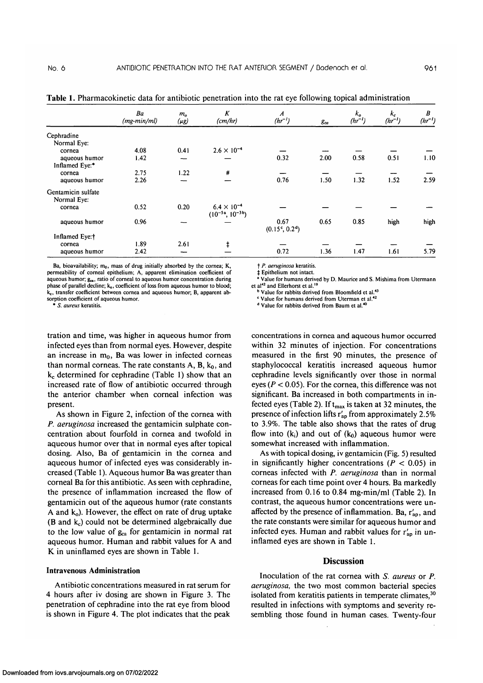|                    | Ba<br>$(mg-min/ml)$ | m <sub>o</sub><br>(µg) | $\boldsymbol{K}$<br>(cm/hr) | $\boldsymbol{A}$<br>$(hr^{-1})$ | $g_{ca}$ | $k_{o}$<br>$(hr^{-1})$ | $k_c$<br>$(hr^{-1})$ | B<br>$(hr^{-1})$ |
|--------------------|---------------------|------------------------|-----------------------------|---------------------------------|----------|------------------------|----------------------|------------------|
| Cephradine         |                     |                        |                             |                                 |          |                        |                      |                  |
| Normal Eye:        |                     |                        |                             |                                 |          |                        |                      |                  |
| cornea             | 4.08                | 0.41                   | $2.6 \times 10^{-4}$        |                                 |          |                        |                      |                  |
| aqueous humor      | 1.42                | --                     |                             | 0.32                            | 2.00     | 0.58                   | 0.51                 | 1.10             |
| Inflamed Eve:*     |                     |                        |                             |                                 |          |                        |                      |                  |
| cornea             | 2.75                | 1.22                   | #                           |                                 |          |                        |                      |                  |
| aqueous humor      | 2.26                |                        |                             | 0.76                            | 1.50     | 1.32                   | 1.52                 | 2.59             |
| Gentamicin sulfate |                     |                        |                             |                                 |          |                        |                      |                  |
| Normal Eye:        |                     |                        |                             |                                 |          |                        |                      |                  |
| cornea             | 0.52                | 0.20                   | $6.4 \times 10^{-4}$        |                                 |          |                        |                      |                  |
|                    |                     |                        | $(10^{-5a}, 10^{-3b})$      |                                 |          |                        |                      |                  |
| aqueous humor      | 0.96                |                        |                             | 0.67                            | 0.65     | 0.85                   | high                 | high             |
|                    |                     |                        |                             | $(0.15^{\circ}, 0.2^{\circ})$   |          |                        |                      |                  |
| Inflamed Eye:t     |                     |                        |                             |                                 |          |                        |                      |                  |
| cornea             | 1.89                | 2.61                   | ŧ                           |                                 |          |                        |                      |                  |
| aqueous humor      | 2.42                |                        |                             | 0.72                            | 1.36     | 1.47                   | 1.61                 | 5.79             |

**Table 1.** Pharmacokinetic data for antibiotic penetration into the rat eye following topical administration

Ba, bioavailability;  $m_0$ , mass of drug initially absorbed by the cornea; K, permeability of corneal epithelium; A, apparent elimination coefficient of aqueous humor; g<sub>ca</sub>, ratio of corneal to aqueous humor concentration during phase of parallel decline; k<sub>o</sub>, coefficient of loss from aqueous humor to blood; k,., transfer coefficient between cornea and aqueous humor; B, apparent absorption coefficient of aqueous humor.

\* *S. aureus* keratitis.

t *P. aeruginosa* keratitis.

**± Epithelium not intact.** 

<sup>a</sup> Value for humans derived by D. Maurice and S. Mishima from Utermann<br>et al<sup>42</sup> and Ellerhorst et al.<sup>19</sup><br>b Value for rabbits derived from Bloomfield et al.<sup>43</sup>

Value for rabbits derived from Bloomfield et al.<sup>43</sup>

<sup>c</sup> Value for humans derived from Uterman et al.<sup>42</sup>

<sup>d</sup> Value for rabbits derived from Baum et al.<sup>40</sup>

tration and time, was higher in aqueous humor from infected eyes than from normal eyes. However, despite an increase in  $m_0$ , Ba was lower in infected corneas than normal corneas. The rate constants  $A$ ,  $B$ ,  $k_0$ , and  $k_c$  determined for cephradine (Table 1) show that an increased rate of flow of antibiotic occurred through the anterior chamber when corneal infection was present.

As shown in Figure 2, infection of the cornea with *P. aeruginosa* increased the gentamicin sulphate concentration about fourfold in cornea and twofold in aqueous humor over that in normal eyes after topical dosing. Also, Ba of gentamicin in the cornea and aqueous humor of infected eyes was considerably increased (Table 1). Aqueous humor Ba was greater than corneal Ba for this antibiotic. As seen with cephradine, the presence of inflammation increased the flow of gentamicin out of the aqueous humor (rate constants A and  $k_0$ ). However, the effect on rate of drug uptake (B and  $k_c$ ) could not be determined algebraically due to the low value of  $g_{ca}$  for gentamicin in normal rat aqueous humor. Human and rabbit values for A and K in uninflamed eyes are shown in Table **1**.

#### **Intravenous Administration**

Antibiotic concentrations measured in rat serum for 4 hours after iv dosing are shown in Figure 3. The penetration of cephradine into the rat eye from blood is shown in Figure 4. The plot indicates that the peak

concentrations in cornea and aqueous humor occurred within 32 minutes of injection. For concentrations measured in the first 90 minutes, the presence of staphylococcal keratitis increased aqueous humor cephradine levels significantly over those in normal eyes *(P <* 0.05). For the cornea, this difference was not significant. Ba increased in both compartments in infected eyes (Table 2). If  $t_{max}$  is taken at 32 minutes, the presence of infection lifts  $r_{ap}'$  from approximately 2.5% to 3.9%. The table also shows that the rates of drug flow into  $(k_i)$  and out of  $(k_0)$  aqueous humor were somewhat increased with inflammation.

As with topical dosing, iv gentamicin (Fig. 5) resulted in significantly higher concentrations *(P <* 0.05) in corneas infected with *P. aeruginosa* than in normal corneas for each time point over 4 hours. Ba markedly increased from 0.16 to 0.84 mg-min/ml (Table 2). In contrast, the aqueous humor concentrations were unaffected by the presence of inflammation. Ba,  $r_{ap}$ , and the rate constants were similar for aqueous humor and infected eyes. Human and rabbit values for  $r'_{ap}$  in uninflamed eyes are shown in Table 1.

## **Discussion**

Inoculation of the rat cornea with *S. aureus* or *P. aeruginosa,* the two most common bacterial species isolated from keratitis patients in temperate climates,<sup>30</sup> resulted in infections with symptoms and severity resembling those found in human cases. Twenty-four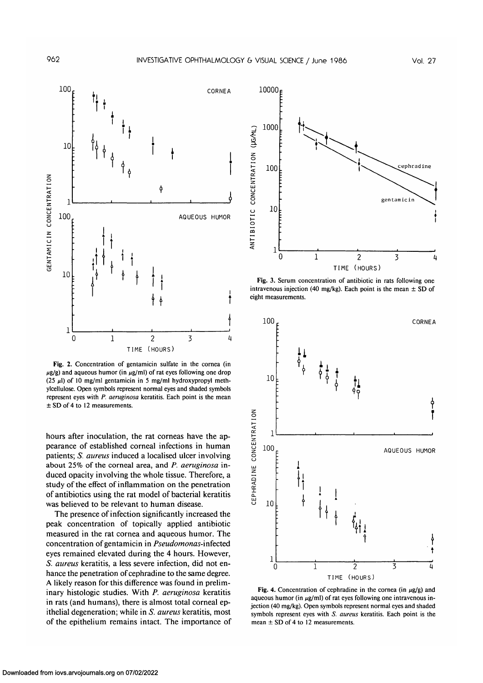

Fig. 2. Concentration of gentamicin sulfate in the cornea (in  $\mu$ g/g) and aqueous humor (in  $\mu$ g/ml) of rat eyes following one drop (25  $\mu$ l) of 10 mg/ml gentamicin in 5 mg/ml hydroxypropyl methylcellulose. Open symbols represent normal eyes and shaded symbols represent eyes with *P. aeruginosa* keratitis. Each point is the mean ± SD of 4 to 12 measurements.

hours after inoculation, the rat corneas have the appearance of established corneal infections in human patients; *S. aureus* induced a localised ulcer involving about 25% of the corneal area, and *P. aeruginosa* induced opacity involving the whole tissue. Therefore, a study of the effect of inflammation on the penetration of antibiotics using the rat model of bacterial keratitis was believed to be relevant to human disease.

The presence of infection significantly increased the peak concentration of topically applied antibiotic measured in the rat cornea and aqueous humor. The concentration of gentamicin in *Pseudomonas-infected* eyes remained elevated during the 4 hours. However, *S. aureus* keratitis, a less severe infection, did not enhance the penetration of cephradine to the same degree. A likely reason for this difference was found in preliminary histologic studies. With *P. aeruginosa* keratitis in rats (and humans), there is almost total corneal epithelial degeneration; while in *S. aureus* keratitis, most of the epithelium remains intact. The importance of



Fig. 3. Serum concentration of antibiotic in rats following one intravenous injection (40 mg/kg). Each point is the mean  $\pm$  SD of eight measurements.



Fig. 4. Concentration of cephradine in the cornea (in  $\mu g/g$ ) and aqueous humor (in  $\mu$ g/ml) of rat eyes following one intravenous injection (40 mg/kg). Open symbols represent normal eyes and shaded symbols represent eyes with *S. aureus* keratitis. Each point is the mean  $\pm$  SD of 4 to 12 measurements.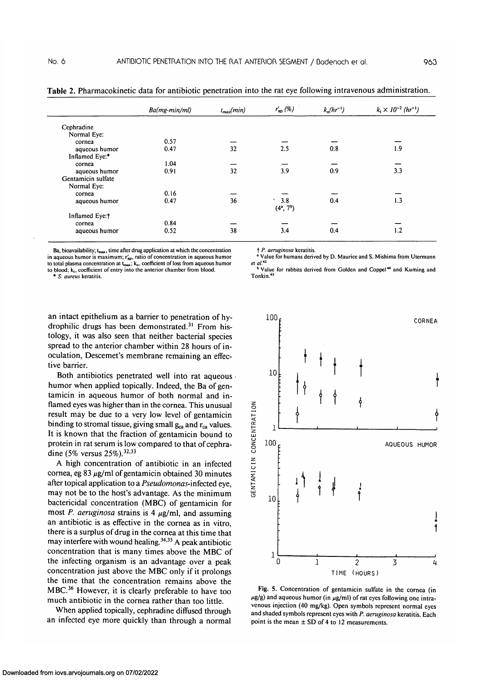|                    | $Ba(mg-min/ml)$ | $t_{max}(min)$ | $r_{\rm ap}^\prime\left(\% \right)$ | $k_{0}(hr^{-1})$ | $k_i \times 10^{-2}$ (hr <sup>-1</sup> ) |
|--------------------|-----------------|----------------|-------------------------------------|------------------|------------------------------------------|
| Cephradine         |                 |                |                                     |                  |                                          |
| Normal Eve:        |                 |                |                                     |                  |                                          |
| cornea             | 0.57            |                |                                     |                  |                                          |
| aqueous humor      | 0.47            | 32             | 2.5                                 | 0.8              | 1.9                                      |
| Inflamed Eye:*     |                 |                |                                     |                  |                                          |
| cornea             | 1.04            |                |                                     |                  |                                          |
| aqueous humor      | 0.91            | 32             | 3.9                                 | 0.9              | 3.3                                      |
| Gentamicin sulfate |                 |                |                                     |                  |                                          |
| Normal Eye:        |                 |                |                                     |                  |                                          |
| cornea             | 0.16            |                |                                     |                  |                                          |
| aqueous humor      | 0.47            | 36             | $\ddot{3.8}$                        | 0.4              | 1.3                                      |
|                    |                 |                | $(4^{\circ}, 7^{\circ})$            |                  |                                          |
| Inflamed Eye:†     |                 |                |                                     |                  |                                          |
| cornea             | 0.84            |                |                                     |                  |                                          |
| aqueous humor      | 0.52            | 38             | 3.4                                 | 0.4              | 1.2                                      |

**Table 2.** Pharmacokinetic data for antibiotic penetration into the rat eye following intravenous administration.

Ba, bioavailability;  $t_{\text{max}}$ , time after drug application at which the concentration in aqueous humor is maximum;  $r'_{ap}$ , ratio of concentration in aqueous humor

to total plasma concentration at  $t_{max}$ ;  $k_o$ , coefficient of loss from aqueous humor to blood; kj, coefficient of entry into the anterior chamber from blood.

\* 5. *aureus* keratitis.

<sup>f</sup> *P. aeruginosa* keratitis. <sup>a</sup>

<sup>a</sup> Value for humans derived by D. Maurice and S. Mishima from Utermann *et al.42* b

Value for rabbits derived from Golden and Coppel<sup>44</sup> and Kuming and Tonkin.<sup>45</sup>

an intact epithelium as a barrier to penetration of hydrophilic drugs has been demonstrated.<sup>31</sup> From histology, it was also seen that neither bacterial species spread to the anterior chamber within 28 hours of inoculation, Descemet's membrane remaining an effective barrier.

Both antibiotics penetrated well into rat aqueous humor when applied topically. Indeed, the Ba of gentamicin in aqueous humor of both normal and inflamed eyes was higher than in the cornea. This unusual result may be due to a very low level of gentamicin binding to stromal tissue, giving small  $g_{ca}$  and  $r_{ca}$  values. It is known that the fraction of gentamicin bound to protein in rat serum is low compared to that of cephradine (5% versus  $25\%$ ).<sup>32,33</sup>

A high concentration of antibiotic in an infected cornea, eg 83  $\mu$ g/ml of gentamicin obtained 30 minutes after topical application to a *Pseudomonas-infected* eye, may not be to the host's advantage. As the minimum bactericidal concentration (MBC) of gentamicin for most *P. aeruginosa* strains is 4  $\mu$ g/ml, and assuming an antibiotic is as effective in the cornea as in vitro, there is a surplus of drug in the cornea at this time that may interfere with wound healing.<sup>34,35</sup> A peak antibiotic concentration that is many times above the MBC of the infecting organism is an advantage over a peak concentration just above the MBC only if it prolongs the time that the concentration remains above the MBC.<sup>36</sup> However, it is clearly preferable to have too much antibiotic in the cornea rather than too little.

When applied topically, cephradine diffused through an infected eye more quickly than through a normal



Fig. 5. Concentration of gentamicin sulfate in the cornea (in  $\mu$ g/g) and aqueous humor (in  $\mu$ g/ml) of rat eyes following one intravenous injection (40 mg/kg). Open symbols represent normal eyes and shaded symbols represent eyes with *P. aeruginosa* keratitis. Each point is the mean  $\pm$  SD of 4 to 12 measurements.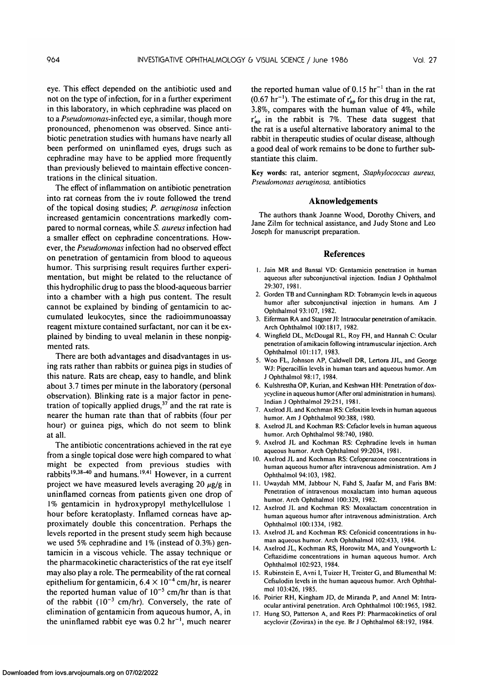eye. This effect depended on the antibiotic used and not on the type of infection, for in a further experiment in this laboratory, in which cephradine was placed on to a *Pseudomonas-infected* eye, a similar, though more pronounced, phenomenon was observed. Since antibiotic penetration studies with humans have nearly all been performed on uninflamed eyes, drugs such as cephradine may have to be applied more frequently than previously believed to maintain effective concentrations in the clinical situation.

The effect of inflammation on antibiotic penetration into rat corneas from the iv route followed the trend of the topical dosing studies; *P. aeruginosa* infection increased gentamicin concentrations markedly compared to normal corneas, while *S. aureus* infection had a smaller effect on cephradine concentrations. However, the *Pseudomonas* infection had no observed effect on penetration of gentamicin from blood to aqueous humor. This surprising result requires further experimentation, but might be related to the reluctance of this hydrophilic drug to pass the blood-aqueous barrier into a chamber with a high pus content. The result cannot be explained by binding of gentamicin to accumulated leukocytes, since the radioimmunoassay reagent mixture contained surfactant, nor can it be explained by binding to uveal melanin in these nonpigmented rats.

There are both advantages and disadvantages in using rats rather than rabbits or guinea pigs in studies of this nature. Rats are cheap, easy to handle, and blink about 3.7 times per minute in the laboratory (personal observation). Blinking rate is a major factor in penetration of topically applied drugs,  $37$  and the rat rate is nearer the human rate than that of rabbits (four per hour) or guinea pigs, which do not seem to blink at all.

The antibiotic concentrations achieved in the rat eye from a single topical dose were high compared to what might be expected from previous studies with rabbits<sup>19,38–40</sup> and humans.<sup>19,41</sup> However, in a current project we have measured levels averaging 20  $\mu$ g/g in uninflamed corneas from patients given one drop of 1% gentamicin in hydroxypropyl methylcellulose 1 hour before keratoplasty. Inflamed corneas have approximately double this concentration. Perhaps the levels reported in the present study seem high because we used 5% cephradine and 1% (instead of  $0.3\%$ ) gentamicin in a viscous vehicle. The assay technique or the pharmacokinetic characteristics of the rat eye itself may also play a role. The permeability of the rat corneal epithelium for gentamicin,  $6.4 \times 10^{-4}$  cm/hr, is nearer the reported human value of  $10^{-5}$  cm/hr than is that of the rabbit  $(10^{-3} \text{ cm/hr})$ . Conversely, the rate of elimination of gentamicin from aqueous humor, A, in the uninflamed rabbit eye was  $0.2$  hr<sup>-1</sup>, much nearer

the reported human value of  $0.15$  hr<sup>-1</sup> than in the rat  $(0.67 \text{ hr}^{-1})$ . The estimate of  $r_{ap}$  for this drug in the rat, 3.8%, compares with the human value of 4%, while  $r_{\text{ap}}'$  in the rabbit is 7%. These data suggest that the rat is a useful alternative laboratory animal to the rabbit in therapeutic studies of ocular disease, although a good deal of work remains to be done to further substantiate this claim.

Key words: rat, anterior segment, *Staphylococcus aureus, Pseudomonas aeruginosa,* antibiotics

## **Aknowledgements**

The authors thank Joanne Wood, Dorothy Chivers, and Jane Zilm for technical assistance, and Judy Stone and Leo Joseph for manuscript preparation.

#### **References**

- 1. Jain MR and Bansal VD: Gentamicin penetration in human aqueous after subconjunctival injection. Indian J Ophthalmol 29:307, 1981.
- 2. Gorden TB and Cunningham RD: Tobramycin levels in aqueous humor after subconjunctival injection in humans. Am J Ophthalmol 93:107, 1982.
- 3. Eiferman RA and Stagner JI: Intraocular penetration of amikacin. Arch Ophthalmol 100:1817, 1982.
- 4. Wingfield DL, McDougal RL, Roy FH, and Hannah C: Ocular penetration of amikacin following intramuscular injection. Arch Ophthalmol 101:117, 1983.
- 5. Woo FL, Johnson AP, Caldwell DR, Lertora JJL, and George WJ: Piperacillin levels in human tears and aqueous humor. Am J Ophthalmol 98:17, 1984.
- 6. Kulshrestha OP, Kurian, and Keshwan HH: Penetration of doxycycline in aqueous humor (After oral administration in humans). Indian J Ophthalmol 29:251, 1981.
- Axelrod JL and Kochman RS: Cefoxitin levels in human aqueous humor. Am J Ophthalmol 90:388, 1980.
- 8. Axelrod JL and Kochman RS: Cefaclor levels in human aqueous humor. Arch Ophthalmol 98:740, 1980.
- Axelrod JL and Kochman RS: Cephradine levels in human aqueous humor. Arch Ophthalmol 99:2034, 1981.
- 10. Axelrod JL and Kochman RS: Cefoperazone concentrations in human aqueous humor after intravenous administration. Am J Ophthalmol 94:103, 1982.
- 11. Uwaydah MM, Jabbour N, Fahd S, Jaafar M, and Faris BM: Penetration of intravenous moxalactam into human aqueous humor. Arch Ophthalmol 100:329, 1982.
- 12. Axelrod JL and Kochman RS: Moxalactam concentration in human aqueous humor after intravenous administration. Arch Ophthalmol 100:1334, 1982.
- 13. Axelrod JL and Kochman RS: Cefonicid concentrations in human aqueous humor. Arch Ophthalmol 102:433, 1984.
- 14. Axelrod JL, Kochman RS, Horowitz MA, and Youngworth L: Ceftazidime concentrations in human aqueous humor. Arch Ophthalmol 102:923, 1984.
- 15. Rubinstein E, Avni I, Tuizer H, Treister G, and Blumenthal M: Cefsulodin levels in the human aqueous humor. Arch Ophthalmol 103:426, 1985.
- 16. Poirier RH, Kingham JD, de Miranda P, and Annel M: Intraocular antiviral penetration. Arch Ophthalmol 100:1965, 1982.
- 17. Hung SO, Patterson A, and Rees PJ: Pharmacokinetics of oral acyclovir (Zovirax) in the eye. Br J Ophthalmol 68:192, 1984.